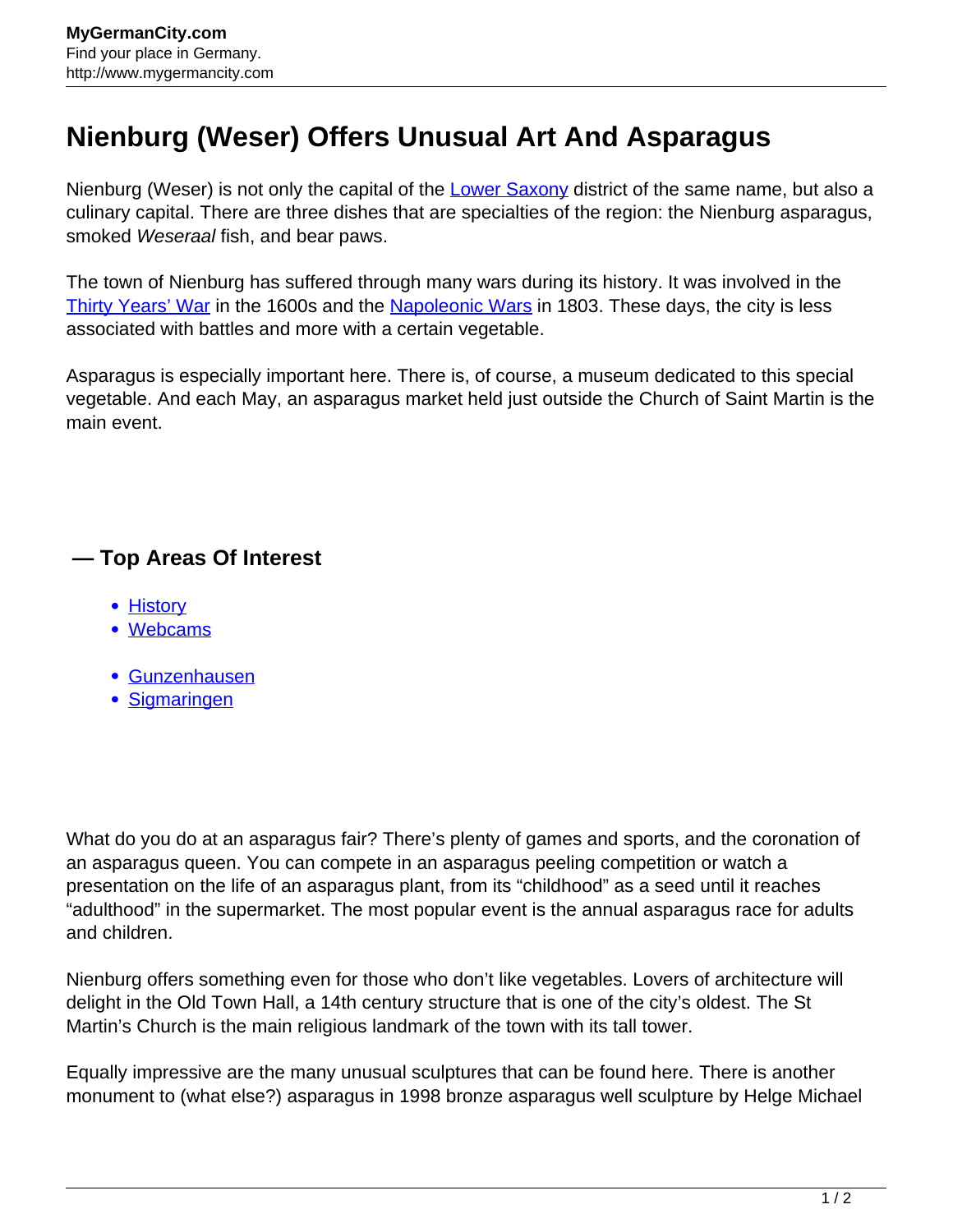## **Nienburg (Weser) Offers Unusual Art And Asparagus**

Nienburg (Weser) is not only the capital of the [Lower Saxony](http://www.mygermancity.com/lower-saxony) district of the same name, but also a culinary capital. There are three dishes that are specialties of the region: the Nienburg asparagus, smoked Weseraal fish, and bear paws.

The town of Nienburg has suffered through many wars during its history. It was involved in the [Thirty Years' War](http://www.mygermancity.com/thirty-years-war) in the 1600s and the [Napoleonic Wars](http://www.mygermancity.com/napoleonic-wars) in 1803. These days, the city is less associated with battles and more with a certain vegetable.

Asparagus is especially important here. There is, of course, a museum dedicated to this special vegetable. And each May, an asparagus market held just outside the Church of Saint Martin is the main event.

## **— Top Areas Of Interest**

- **[History](http://www.mygermancity.com/leipzig-history)**
- [Webcams](http://www.mygermancity.com/neustadt-holstein-webcams)
- [Gunzenhausen](http://www.mygermancity.com/gunzenhausen)
- [Sigmaringen](http://www.mygermancity.com/sigmaringen)

What do you do at an asparagus fair? There's plenty of games and sports, and the coronation of an asparagus queen. You can compete in an asparagus peeling competition or watch a presentation on the life of an asparagus plant, from its "childhood" as a seed until it reaches "adulthood" in the supermarket. The most popular event is the annual asparagus race for adults and children.

Nienburg offers something even for those who don't like vegetables. Lovers of architecture will delight in the Old Town Hall, a 14th century structure that is one of the city's oldest. The St Martin's Church is the main religious landmark of the town with its tall tower.

Equally impressive are the many unusual sculptures that can be found here. There is another monument to (what else?) asparagus in 1998 bronze asparagus well sculpture by Helge Michael